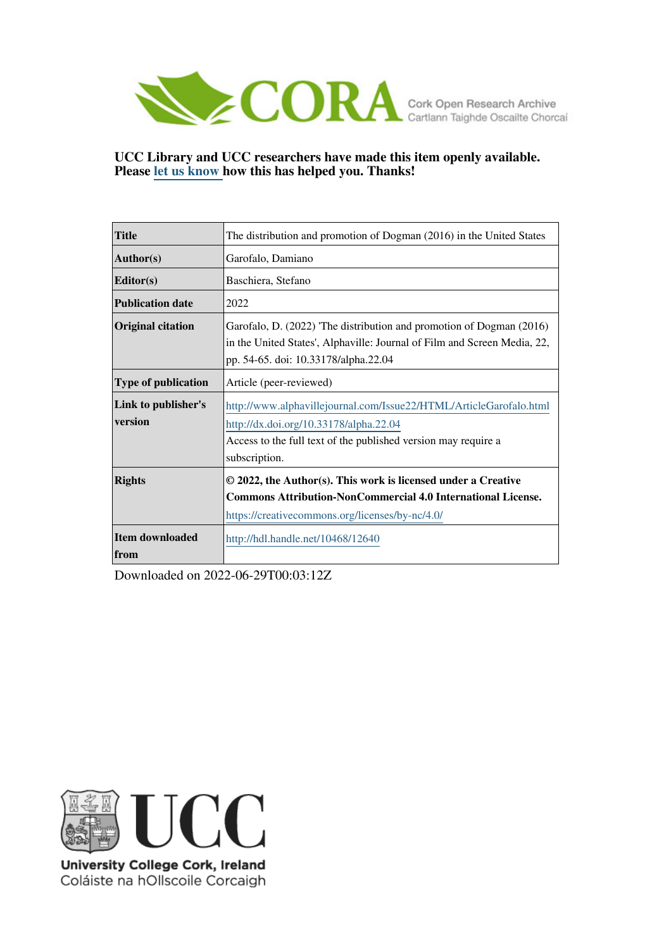

**UCC Library and UCC researchers have made this item openly available. Please [let us know h](https://libguides.ucc.ie/openaccess/impact?suffix=12640&title=The distribution and promotion of Dogman (2016) in the United States)ow this has helped you. Thanks!**

| <b>Title</b>                   | The distribution and promotion of Dogman (2016) in the United States                                                                                                                            |
|--------------------------------|-------------------------------------------------------------------------------------------------------------------------------------------------------------------------------------------------|
| $\vert$ Author(s)              | Garofalo, Damiano                                                                                                                                                                               |
| Editor(s)                      | Baschiera, Stefano                                                                                                                                                                              |
| <b>Publication date</b>        | 2022                                                                                                                                                                                            |
| <b>Original citation</b>       | Garofalo, D. (2022) 'The distribution and promotion of Dogman (2016)<br>in the United States', Alphaville: Journal of Film and Screen Media, 22,<br>pp. 54-65. doi: 10.33178/alpha.22.04        |
| <b>Type of publication</b>     | Article (peer-reviewed)                                                                                                                                                                         |
| Link to publisher's<br>version | http://www.alphavillejournal.com/Issue22/HTML/ArticleGarofalo.html<br>http://dx.doi.org/10.33178/alpha.22.04<br>Access to the full text of the published version may require a<br>subscription. |
| <b>Rights</b>                  | © 2022, the Author(s). This work is licensed under a Creative<br><b>Commons Attribution-NonCommercial 4.0 International License.</b><br>https://creativecommons.org/licenses/by-nc/4.0/         |
| Item downloaded<br>from        | http://hdl.handle.net/10468/12640                                                                                                                                                               |

Downloaded on 2022-06-29T00:03:12Z



University College Cork, Ireland Coláiste na hOllscoile Corcaigh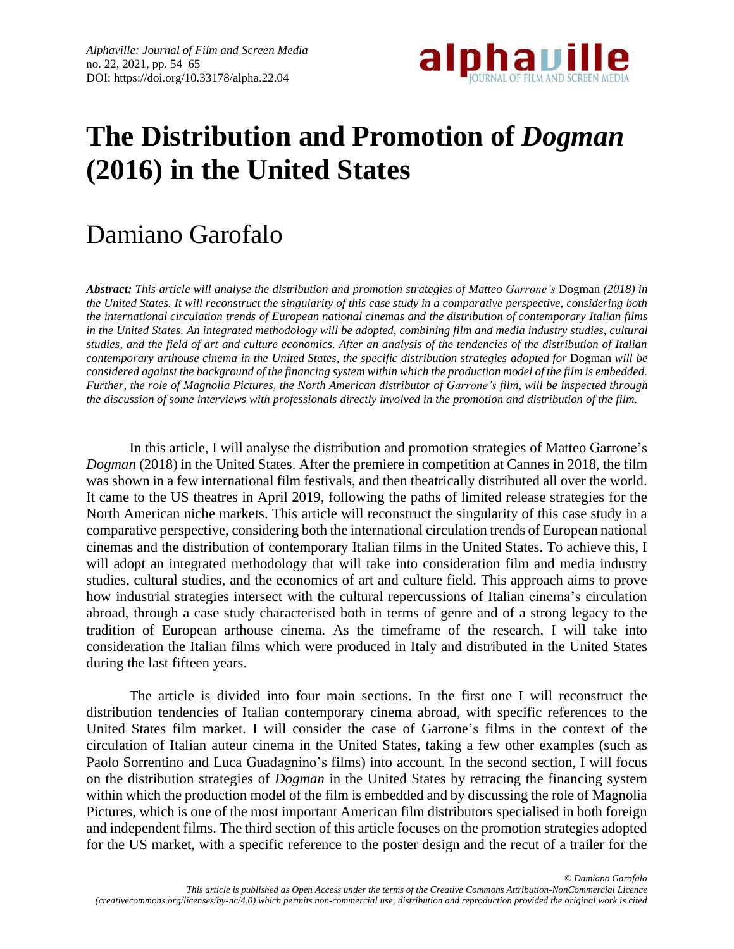

# **The Distribution and Promotion of** *Dogman* **(2016) in the United States**

## Damiano Garofalo

*Abstract: This article will analyse the distribution and promotion strategies of Matteo Garrone's* Dogman *(2018) in* the United States. It will reconstruct the singularity of this case study in a comparative perspective, considering both *the international circulation trends of European national cinemas and the distribution of contemporary Italian films* in the United States. An integrated methodology will be adopted, combining film and media industry studies, cultural studies, and the field of art and culture economics. After an analysis of the tendencies of the distribution of Italian *contemporary arthouse cinema in the United States, the specific distribution strategies adopted for* Dogman *will be considered againstthe background ofthe financing system within which the production model ofthe film is embedded.* Further, the role of Magnolia Pictures, the North American distributor of Garrone's film, will be inspected through the discussion of some interviews with professionals directly involved in the promotion and distribution of the film.

In this article, I will analyse the distribution and promotion strategies of Matteo Garrone's *Dogman* (2018) in the United States. After the premiere in competition at Cannes in 2018, the film was shown in a few international film festivals, and then theatrically distributed all over the world. It came to the US theatres in April 2019, following the paths of limited release strategies for the North American niche markets. This article will reconstruct the singularity of this case study in a comparative perspective, considering both the international circulation trends of European national cinemas and the distribution of contemporary Italian films in the United States. To achieve this, I will adopt an integrated methodology that will take into consideration film and media industry studies, cultural studies, and the economics of art and culture field. This approach aims to prove how industrial strategies intersect with the cultural repercussions of Italian cinema's circulation abroad, through a case study characterised both in terms of genre and of a strong legacy to the tradition of European arthouse cinema. As the timeframe of the research, I will take into consideration the Italian films which were produced in Italy and distributed in the United States during the last fifteen years.

The article is divided into four main sections. In the first one I will reconstruct the distribution tendencies of Italian contemporary cinema abroad, with specific references to the United States film market. I will consider the case of Garrone's films in the context of the circulation of Italian auteur cinema in the United States, taking a few other examples (such as Paolo Sorrentino and Luca Guadagnino's films) into account. In the second section, I will focus on the distribution strategies of *Dogman* in the United States by retracing the financing system within which the production model of the film is embedded and by discussing the role of Magnolia Pictures, which is one of the most important American film distributors specialised in both foreign and independent films. The third section of this article focuses on the promotion strategies adopted for the US market, with a specific reference to the poster design and the recut of a trailer for the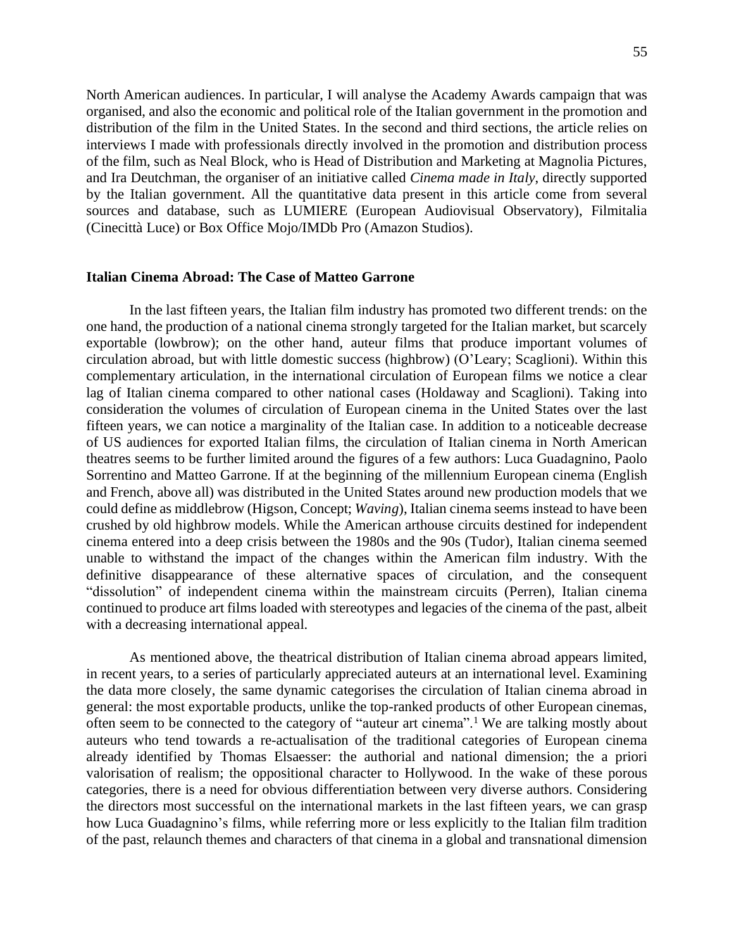North American audiences. In particular, I will analyse the Academy Awards campaign that was organised, and also the economic and political role of the Italian government in the promotion and distribution of the film in the United States. In the second and third sections, the article relies on interviews I made with professionals directly involved in the promotion and distribution process of the film, such as Neal Block, who is Head of Distribution and Marketing at Magnolia Pictures, and Ira Deutchman, the organiser of an initiative called *Cinema made in Italy*, directly supported by the Italian government. All the quantitative data present in this article come from several sources and database, such as LUMIERE (European Audiovisual Observatory), Filmitalia (Cinecittà Luce) or Box Office Mojo/IMDb Pro (Amazon Studios).

#### **Italian Cinema Abroad: The Case of Matteo Garrone**

In the last fifteen years, the Italian film industry has promoted two different trends: on the one hand, the production of a national cinema strongly targeted for the Italian market, but scarcely exportable (lowbrow); on the other hand, auteur films that produce important volumes of circulation abroad, but with little domestic success (highbrow) (O'Leary; Scaglioni). Within this complementary articulation, in the international circulation of European films we notice a clear lag of Italian cinema compared to other national cases (Holdaway and Scaglioni). Taking into consideration the volumes of circulation of European cinema in the United States over the last fifteen years, we can notice a marginality of the Italian case. In addition to a noticeable decrease of US audiences for exported Italian films, the circulation of Italian cinema in North American theatres seems to be further limited around the figures of a few authors: Luca Guadagnino, Paolo Sorrentino and Matteo Garrone. If at the beginning of the millennium European cinema (English and French, above all) was distributed in the United States around new production models that we could define as middlebrow (Higson, Concept; *Waving*), Italian cinema seems instead to have been crushed by old highbrow models. While the American arthouse circuits destined for independent cinema entered into a deep crisis between the 1980s and the 90s (Tudor), Italian cinema seemed unable to withstand the impact of the changes within the American film industry. With the definitive disappearance of these alternative spaces of circulation, and the consequent "dissolution" of independent cinema within the mainstream circuits (Perren), Italian cinema continued to produce art films loaded with stereotypes and legacies of the cinema of the past, albeit with a decreasing international appeal.

As mentioned above, the theatrical distribution of Italian cinema abroad appears limited, in recent years, to a series of particularly appreciated auteurs at an international level. Examining the data more closely, the same dynamic categorises the circulation of Italian cinema abroad in general: the most exportable products, unlike the top-ranked products of other European cinemas, often seem to be connected to the category of "auteur art cinema".<sup>1</sup> We are talking mostly about auteurs who tend towards a re-actualisation of the traditional categories of European cinema already identified by Thomas Elsaesser: the authorial and national dimension; the a priori valorisation of realism; the oppositional character to Hollywood. In the wake of these porous categories, there is a need for obvious differentiation between very diverse authors. Considering the directors most successful on the international markets in the last fifteen years, we can grasp how Luca Guadagnino's films, while referring more or less explicitly to the Italian film tradition of the past, relaunch themes and characters of that cinema in a global and transnational dimension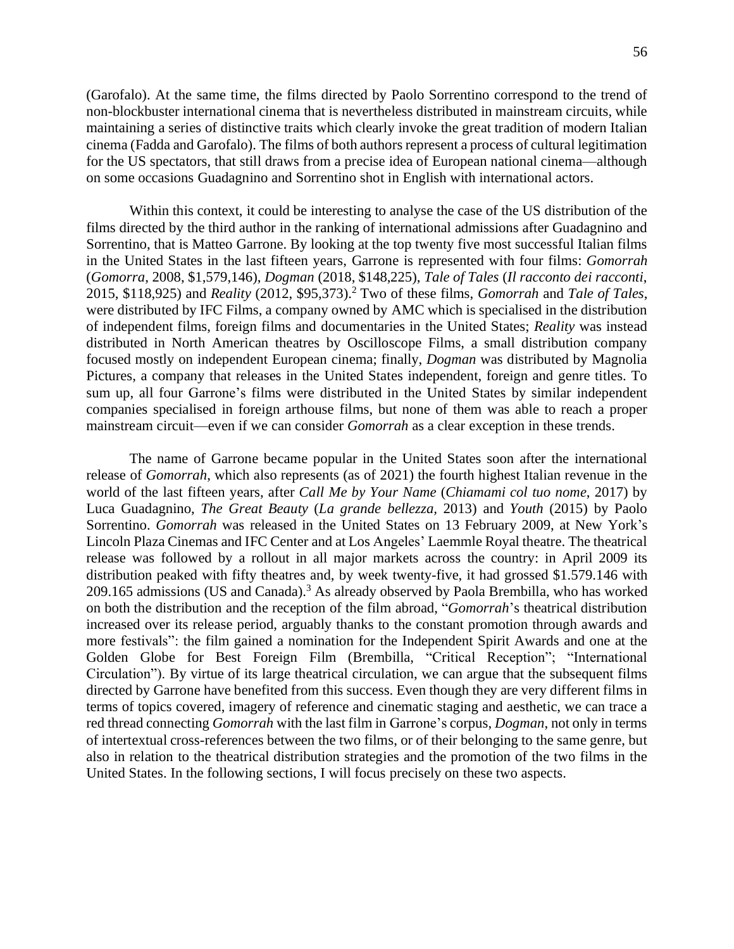(Garofalo). At the same time, the films directed by Paolo Sorrentino correspond to the trend of non-blockbuster international cinema that is nevertheless distributed in mainstream circuits, while maintaining a series of distinctive traits which clearly invoke the great tradition of modern Italian cinema (Fadda and Garofalo). The films of both authors represent a process of cultural legitimation for the US spectators, that still draws from a precise idea of European national cinema—although on some occasions Guadagnino and Sorrentino shot in English with international actors.

Within this context, it could be interesting to analyse the case of the US distribution of the films directed by the third author in the ranking of international admissions after Guadagnino and Sorrentino, that is Matteo Garrone. By looking at the top twenty five most successful Italian films in the United States in the last fifteen years, Garrone is represented with four films: *Gomorrah* (*Gomorra*, 2008, \$1,579,146), *Dogman* (2018, \$148,225), *Tale of Tales* (*Il racconto dei racconti*, 2015, \$118,925) and *Reality* (2012, \$95,373).<sup>2</sup> Two of these films, *Gomorrah* and *Tale of Tales*, were distributed by IFC Films, a company owned by AMC which is specialised in the distribution of independent films, foreign films and documentaries in the United States; *Reality* was instead distributed in North American theatres by Oscilloscope Films, a small distribution company focused mostly on independent European cinema; finally, *Dogman* was distributed by Magnolia Pictures, a company that releases in the United States independent, foreign and genre titles. To sum up, all four Garrone's films were distributed in the United States by similar independent companies specialised in foreign arthouse films, but none of them was able to reach a proper mainstream circuit—even if we can consider *Gomorrah* as a clear exception in these trends.

The name of Garrone became popular in the United States soon after the international release of *Gomorrah*, which also represents (as of 2021) the fourth highest Italian revenue in the world of the last fifteen years, after *Call Me by Your Name* (*Chiamami col tuo nome*, 2017) by Luca Guadagnino, *The Great Beauty* (*La grande bellezza,* 2013) and *Youth* (2015) by Paolo Sorrentino. *Gomorrah* was released in the United States on 13 February 2009, at New York's Lincoln Plaza Cinemas and IFC Center and at Los Angeles' Laemmle Royal theatre. The theatrical release was followed by a rollout in all major markets across the country: in April 2009 its distribution peaked with fifty theatres and, by week twenty-five, it had grossed \$1.579.146 with 209.165 admissions (US and Canada).<sup>3</sup> As already observed by Paola Brembilla, who has worked on both the distribution and the reception of the film abroad, "*Gomorrah*'s theatrical distribution increased over its release period, arguably thanks to the constant promotion through awards and more festivals": the film gained a nomination for the Independent Spirit Awards and one at the Golden Globe for Best Foreign Film (Brembilla, "Critical Reception"; "International Circulation"). By virtue of its large theatrical circulation, we can argue that the subsequent films directed by Garrone have benefited from this success. Even though they are very different films in terms of topics covered, imagery of reference and cinematic staging and aesthetic, we can trace a red thread connecting *Gomorrah* with the last film in Garrone's corpus, *Dogman*, not only in terms of intertextual cross-references between the two films, or of their belonging to the same genre, but also in relation to the theatrical distribution strategies and the promotion of the two films in the United States. In the following sections, I will focus precisely on these two aspects.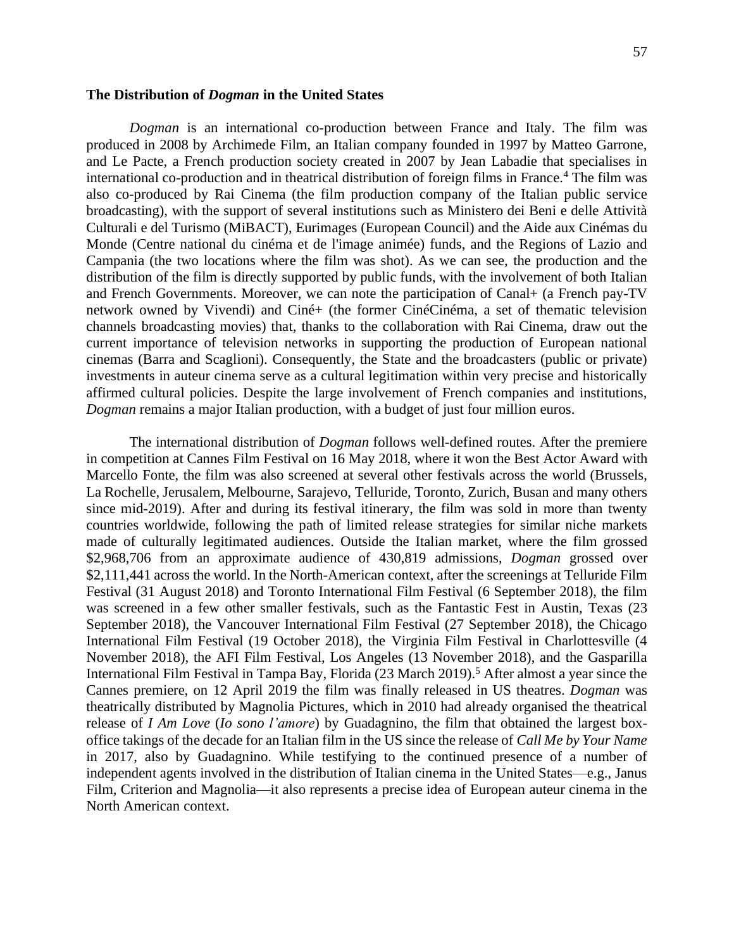#### **The Distribution of** *Dogman* **in the United States**

*Dogman* is an international co-production between France and Italy. The film was produced in 2008 by Archimede Film, an Italian company founded in 1997 by Matteo Garrone, and Le Pacte, a French production society created in 2007 by Jean Labadie that specialises in international co-production and in theatrical distribution of foreign films in France.<sup>4</sup> The film was also co-produced by Rai Cinema (the film production company of the Italian public service broadcasting), with the support of several institutions such as Ministero dei Beni e delle Attività Culturali e del Turismo (MiBACT), Eurimages (European Council) and the Aide aux Cinémas du Monde (Centre national du cinéma et de l'image animée) funds, and the Regions of Lazio and Campania (the two locations where the film was shot). As we can see, the production and the distribution of the film is directly supported by public funds, with the involvement of both Italian and French Governments. Moreover, we can note the participation of Canal+ (a French pay-TV network owned by Vivendi) and Ciné+ (the former CinéCinéma, a set of thematic television channels broadcasting movies) that, thanks to the collaboration with Rai Cinema, draw out the current importance of television networks in supporting the production of European national cinemas (Barra and Scaglioni). Consequently, the State and the broadcasters (public or private) investments in auteur cinema serve as a cultural legitimation within very precise and historically affirmed cultural policies. Despite the large involvement of French companies and institutions, *Dogman* remains a major Italian production, with a budget of just four million euros.

The international distribution of *Dogman* follows well-defined routes. After the premiere in competition at Cannes Film Festival on 16 May 2018, where it won the Best Actor Award with Marcello Fonte, the film was also screened at several other festivals across the world (Brussels, La Rochelle, Jerusalem, Melbourne, Sarajevo, Telluride, Toronto, Zurich, Busan and many others since mid-2019). After and during its festival itinerary, the film was sold in more than twenty countries worldwide, following the path of limited release strategies for similar niche markets made of culturally legitimated audiences. Outside the Italian market, where the film grossed \$2,968,706 from an approximate audience of 430,819 admissions, *Dogman* grossed over \$2,111,441 across the world. In the North-American context, after the screenings at Telluride Film Festival (31 August 2018) and Toronto International Film Festival (6 September 2018), the film was screened in a few other smaller festivals, such as the Fantastic Fest in Austin, Texas (23 September 2018), the Vancouver International Film Festival (27 September 2018), the Chicago International Film Festival (19 October 2018), the Virginia Film Festival in Charlottesville (4 November 2018), the AFI Film Festival, Los Angeles (13 November 2018), and the Gasparilla International Film Festival in Tampa Bay, Florida (23 March 2019).<sup>5</sup> After almost a year since the Cannes premiere, on 12 April 2019 the film was finally released in US theatres. *Dogman* was theatrically distributed by Magnolia Pictures, which in 2010 had already organised the theatrical release of *I Am Love* (*Io sono l'amore*) by Guadagnino, the film that obtained the largest boxoffice takings of the decade for an Italian film in the US since the release of *Call Me by Your Name* in 2017, also by Guadagnino. While testifying to the continued presence of a number of independent agents involved in the distribution of Italian cinema in the United States—e.g., Janus Film, Criterion and Magnolia—it also represents a precise idea of European auteur cinema in the North American context.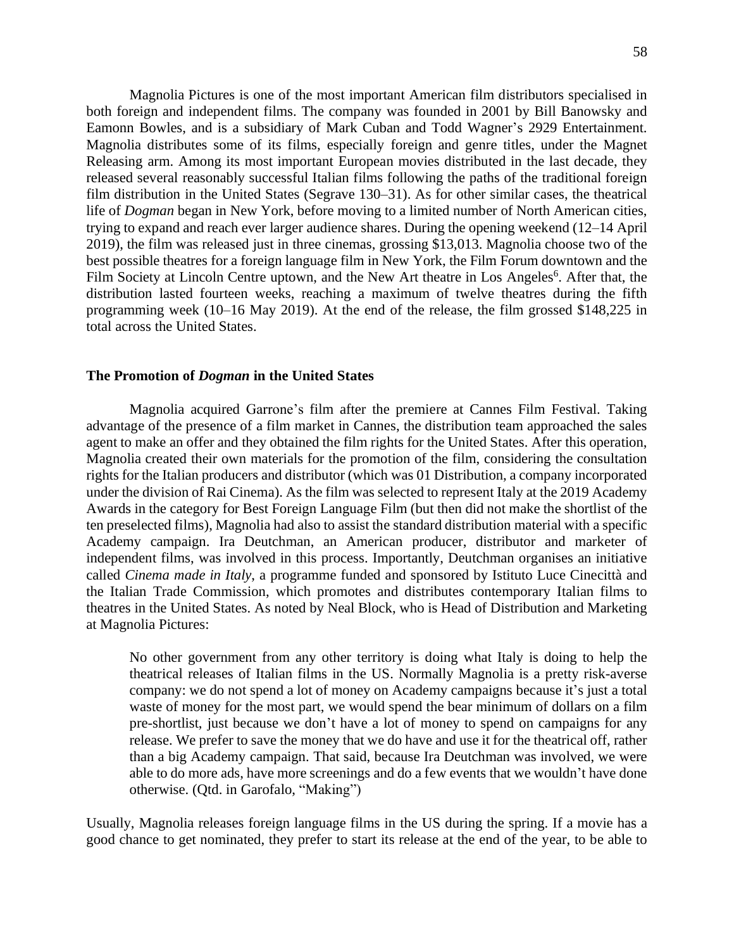Magnolia Pictures is one of the most important American film distributors specialised in both foreign and independent films. The company was founded in 2001 by Bill Banowsky and Eamonn Bowles, and is a subsidiary of Mark Cuban and Todd Wagner's 2929 Entertainment. Magnolia distributes some of its films, especially foreign and genre titles, under the Magnet Releasing arm. Among its most important European movies distributed in the last decade, they released several reasonably successful Italian films following the paths of the traditional foreign film distribution in the United States (Segrave 130–31). As for other similar cases, the theatrical life of *Dogman* began in New York, before moving to a limited number of North American cities, trying to expand and reach ever larger audience shares. During the opening weekend (12–14 April 2019), the film was released just in three cinemas, grossing \$13,013. Magnolia choose two of the best possible theatres for a foreign language film in New York, the Film Forum downtown and the Film Society at Lincoln Centre uptown, and the New Art theatre in Los Angeles<sup>6</sup>. After that, the distribution lasted fourteen weeks, reaching a maximum of twelve theatres during the fifth programming week (10–16 May 2019). At the end of the release, the film grossed \$148,225 in total across the United States.

#### **The Promotion of** *Dogman* **in the United States**

Magnolia acquired Garrone's film after the premiere at Cannes Film Festival. Taking advantage of the presence of a film market in Cannes, the distribution team approached the sales agent to make an offer and they obtained the film rights for the United States. After this operation, Magnolia created their own materials for the promotion of the film, considering the consultation rights for the Italian producers and distributor (which was 01 Distribution, a company incorporated under the division of Rai Cinema). As the film was selected to represent Italy at the 2019 Academy Awards in the category for Best Foreign Language Film (but then did not make the shortlist of the ten preselected films), Magnolia had also to assist the standard distribution material with a specific Academy campaign. Ira Deutchman, an American producer, distributor and marketer of independent films, was involved in this process. Importantly, Deutchman organises an initiative called *Cinema made in Italy*, a programme funded and sponsored by Istituto Luce Cinecittà and the Italian Trade Commission, which promotes and distributes contemporary Italian films to theatres in the United States. As noted by Neal Block, who is Head of Distribution and Marketing at Magnolia Pictures:

No other government from any other territory is doing what Italy is doing to help the theatrical releases of Italian films in the US. Normally Magnolia is a pretty risk-averse company: we do not spend a lot of money on Academy campaigns because it's just a total waste of money for the most part, we would spend the bear minimum of dollars on a film pre-shortlist, just because we don't have a lot of money to spend on campaigns for any release. We prefer to save the money that we do have and use it for the theatrical off, rather than a big Academy campaign. That said, because Ira Deutchman was involved, we were able to do more ads, have more screenings and do a few events that we wouldn't have done otherwise. (Qtd. in Garofalo, "Making")

Usually, Magnolia releases foreign language films in the US during the spring. If a movie has a good chance to get nominated, they prefer to start its release at the end of the year, to be able to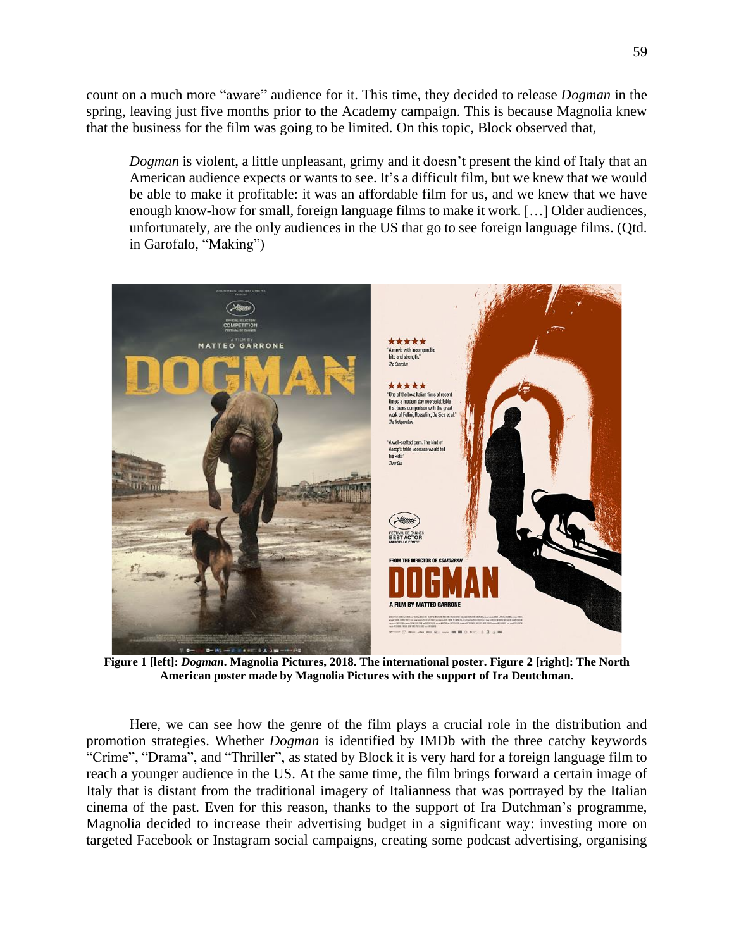count on a much more "aware" audience for it. This time, they decided to release *Dogman* in the spring, leaving just five months prior to the Academy campaign. This is because Magnolia knew that the business for the film was going to be limited. On this topic, Block observed that,

*Dogman* is violent, a little unpleasant, grimy and it doesn't present the kind of Italy that an American audience expects or wants to see. It's a difficult film, but we knew that we would be able to make it profitable: it was an affordable film for us, and we knew that we have enough know-how for small, foreign language films to make it work. […] Older audiences, unfortunately, are the only audiences in the US that go to see foreign language films. (Qtd. in Garofalo, "Making")



**Figure 1 [left]:** *Dogman***. Magnolia Pictures, 2018. The international poster. Figure 2 [right]: The North American poster made by Magnolia Pictures with the support of Ira Deutchman.**

Here, we can see how the genre of the film plays a crucial role in the distribution and promotion strategies. Whether *Dogman* is identified by IMDb with the three catchy keywords "Crime", "Drama", and "Thriller", as stated by Block it is very hard for a foreign language film to reach a younger audience in the US. At the same time, the film brings forward a certain image of Italy that is distant from the traditional imagery of Italianness that was portrayed by the Italian cinema of the past. Even for this reason, thanks to the support of Ira Dutchman's programme, Magnolia decided to increase their advertising budget in a significant way: investing more on targeted Facebook or Instagram social campaigns, creating some podcast advertising, organising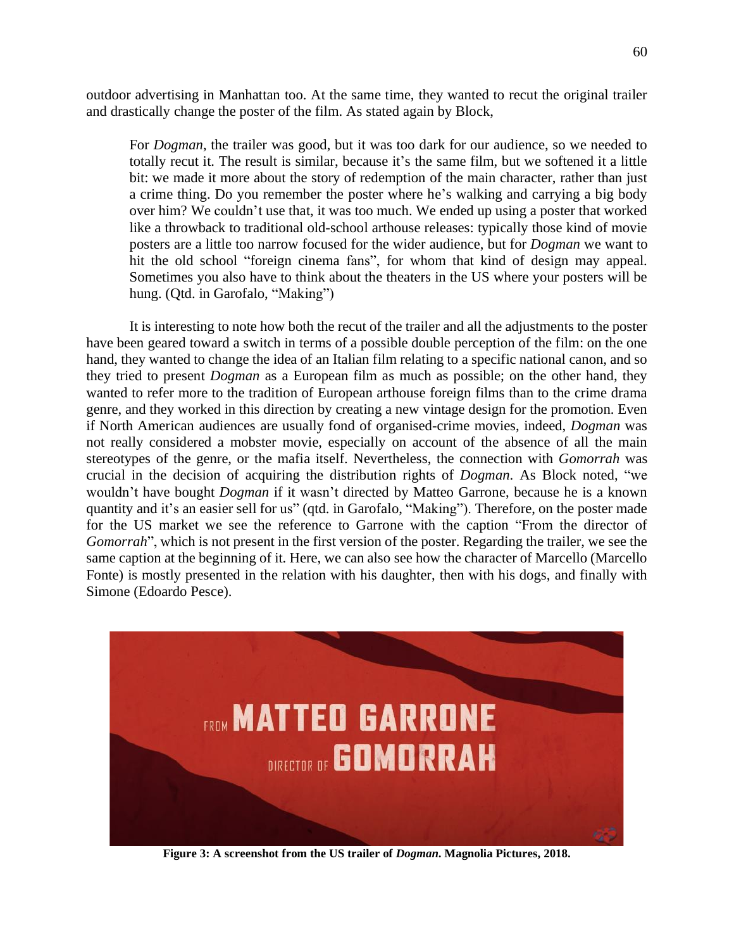outdoor advertising in Manhattan too. At the same time, they wanted to recut the original trailer and drastically change the poster of the film. As stated again by Block,

For *Dogman*, the trailer was good, but it was too dark for our audience, so we needed to totally recut it. The result is similar, because it's the same film, but we softened it a little bit: we made it more about the story of redemption of the main character, rather than just a crime thing. Do you remember the poster where he's walking and carrying a big body over him? We couldn't use that, it was too much. We ended up using a poster that worked like a throwback to traditional old-school arthouse releases: typically those kind of movie posters are a little too narrow focused for the wider audience, but for *Dogman* we want to hit the old school "foreign cinema fans", for whom that kind of design may appeal. Sometimes you also have to think about the theaters in the US where your posters will be hung. (Qtd. in Garofalo, "Making")

It is interesting to note how both the recut of the trailer and all the adjustments to the poster have been geared toward a switch in terms of a possible double perception of the film: on the one hand, they wanted to change the idea of an Italian film relating to a specific national canon, and so they tried to present *Dogman* as a European film as much as possible; on the other hand, they wanted to refer more to the tradition of European arthouse foreign films than to the crime drama genre, and they worked in this direction by creating a new vintage design for the promotion. Even if North American audiences are usually fond of organised-crime movies, indeed, *Dogman* was not really considered a mobster movie, especially on account of the absence of all the main stereotypes of the genre, or the mafia itself. Nevertheless, the connection with *Gomorrah* was crucial in the decision of acquiring the distribution rights of *Dogman*. As Block noted, "we wouldn't have bought *Dogman* if it wasn't directed by Matteo Garrone, because he is a known quantity and it's an easier sell for us" (qtd. in Garofalo, "Making"). Therefore, on the poster made for the US market we see the reference to Garrone with the caption "From the director of *Gomorrah*", which is not present in the first version of the poster. Regarding the trailer, we see the same caption at the beginning of it. Here, we can also see how the character of Marcello (Marcello Fonte) is mostly presented in the relation with his daughter, then with his dogs, and finally with Simone (Edoardo Pesce).



**Figure 3: A screenshot from the US trailer of** *Dogman***. Magnolia Pictures, 2018.**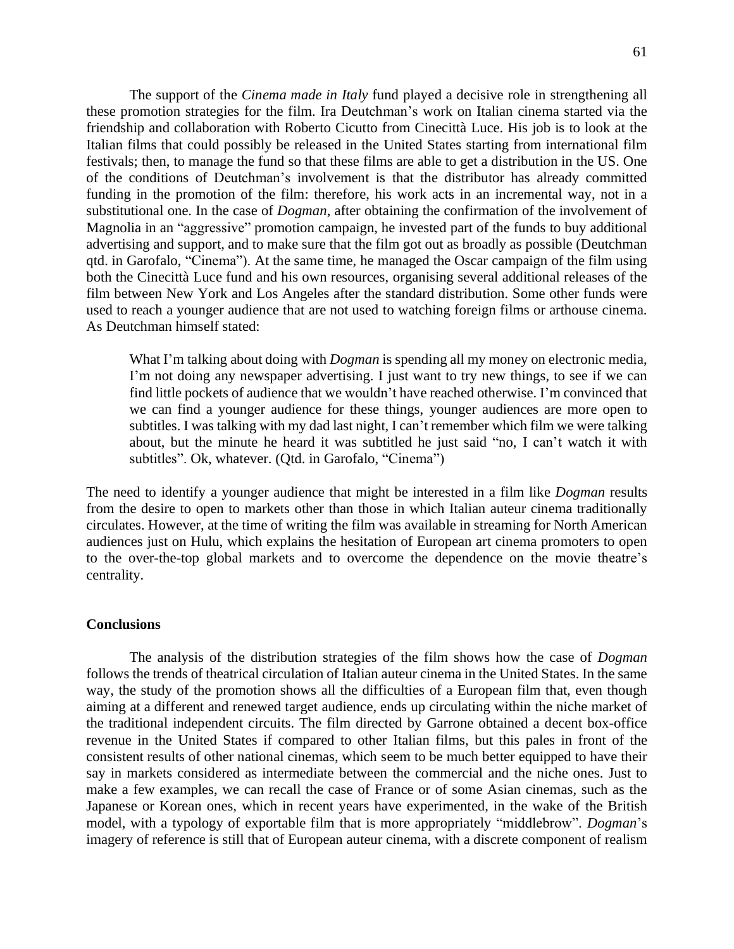The support of the *Cinema made in Italy* fund played a decisive role in strengthening all these promotion strategies for the film. Ira Deutchman's work on Italian cinema started via the friendship and collaboration with Roberto Cicutto from Cinecittà Luce. His job is to look at the Italian films that could possibly be released in the United States starting from international film festivals; then, to manage the fund so that these films are able to get a distribution in the US. One of the conditions of Deutchman's involvement is that the distributor has already committed funding in the promotion of the film: therefore, his work acts in an incremental way, not in a substitutional one. In the case of *Dogman*, after obtaining the confirmation of the involvement of Magnolia in an "aggressive" promotion campaign, he invested part of the funds to buy additional advertising and support, and to make sure that the film got out as broadly as possible (Deutchman qtd. in Garofalo, "Cinema"). At the same time, he managed the Oscar campaign of the film using both the Cinecittà Luce fund and his own resources, organising several additional releases of the film between New York and Los Angeles after the standard distribution. Some other funds were used to reach a younger audience that are not used to watching foreign films or arthouse cinema. As Deutchman himself stated:

What I'm talking about doing with *Dogman* is spending all my money on electronic media, I'm not doing any newspaper advertising. I just want to try new things, to see if we can find little pockets of audience that we wouldn't have reached otherwise. I'm convinced that we can find a younger audience for these things, younger audiences are more open to subtitles. I was talking with my dad last night, I can't remember which film we were talking about, but the minute he heard it was subtitled he just said "no, I can't watch it with subtitles". Ok, whatever. (Qtd. in Garofalo, "Cinema")

The need to identify a younger audience that might be interested in a film like *Dogman* results from the desire to open to markets other than those in which Italian auteur cinema traditionally circulates. However, at the time of writing the film was available in streaming for North American audiences just on Hulu, which explains the hesitation of European art cinema promoters to open to the over-the-top global markets and to overcome the dependence on the movie theatre's centrality.

#### **Conclusions**

The analysis of the distribution strategies of the film shows how the case of *Dogman* follows the trends of theatrical circulation of Italian auteur cinema in the United States. In the same way, the study of the promotion shows all the difficulties of a European film that, even though aiming at a different and renewed target audience, ends up circulating within the niche market of the traditional independent circuits. The film directed by Garrone obtained a decent box-office revenue in the United States if compared to other Italian films, but this pales in front of the consistent results of other national cinemas, which seem to be much better equipped to have their say in markets considered as intermediate between the commercial and the niche ones. Just to make a few examples, we can recall the case of France or of some Asian cinemas, such as the Japanese or Korean ones, which in recent years have experimented, in the wake of the British model, with a typology of exportable film that is more appropriately "middlebrow". *Dogman*'s imagery of reference is still that of European auteur cinema, with a discrete component of realism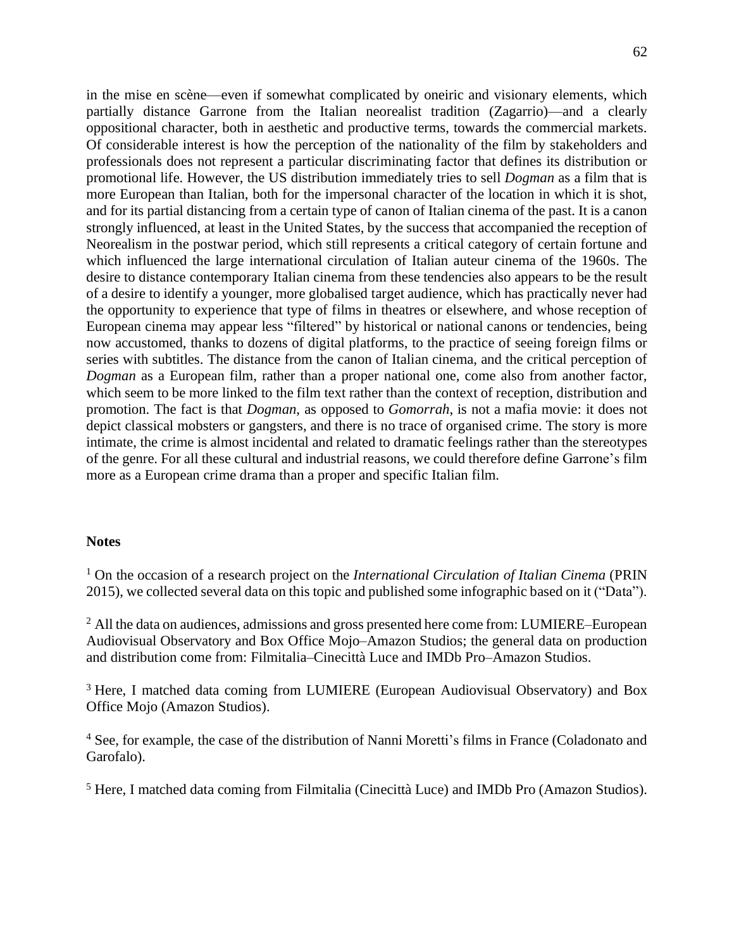in the mise en scène—even if somewhat complicated by oneiric and visionary elements, which partially distance Garrone from the Italian neorealist tradition (Zagarrio)—and a clearly oppositional character, both in aesthetic and productive terms, towards the commercial markets. Of considerable interest is how the perception of the nationality of the film by stakeholders and professionals does not represent a particular discriminating factor that defines its distribution or promotional life. However, the US distribution immediately tries to sell *Dogman* as a film that is more European than Italian, both for the impersonal character of the location in which it is shot, and for its partial distancing from a certain type of canon of Italian cinema of the past. It is a canon strongly influenced, at least in the United States, by the success that accompanied the reception of Neorealism in the postwar period, which still represents a critical category of certain fortune and which influenced the large international circulation of Italian auteur cinema of the 1960s. The desire to distance contemporary Italian cinema from these tendencies also appears to be the result of a desire to identify a younger, more globalised target audience, which has practically never had the opportunity to experience that type of films in theatres or elsewhere, and whose reception of European cinema may appear less "filtered" by historical or national canons or tendencies, being now accustomed, thanks to dozens of digital platforms, to the practice of seeing foreign films or series with subtitles. The distance from the canon of Italian cinema, and the critical perception of *Dogman* as a European film, rather than a proper national one, come also from another factor, which seem to be more linked to the film text rather than the context of reception, distribution and promotion. The fact is that *Dogman*, as opposed to *Gomorrah*, is not a mafia movie: it does not depict classical mobsters or gangsters, and there is no trace of organised crime. The story is more intimate, the crime is almost incidental and related to dramatic feelings rather than the stereotypes of the genre. For all these cultural and industrial reasons, we could therefore define Garrone's film more as a European crime drama than a proper and specific Italian film.

### **Notes**

<sup>1</sup> On the occasion of a research project on the *International Circulation of Italian Cinema* (PRIN 2015), we collected several data on this topic and published some infographic based on it ("Data").

<sup>2</sup> All the data on audiences, admissions and gross presented here come from: LUMIERE–European Audiovisual Observatory and Box Office Mojo–Amazon Studios; the general data on production and distribution come from: Filmitalia–Cinecittà Luce and IMDb Pro–Amazon Studios.

<sup>3</sup> Here, I matched data coming from LUMIERE (European Audiovisual Observatory) and Box Office Mojo (Amazon Studios).

<sup>4</sup> See, for example, the case of the distribution of Nanni Moretti's films in France (Coladonato and Garofalo).

<sup>5</sup> Here, I matched data coming from Filmitalia (Cinecittà Luce) and IMDb Pro (Amazon Studios).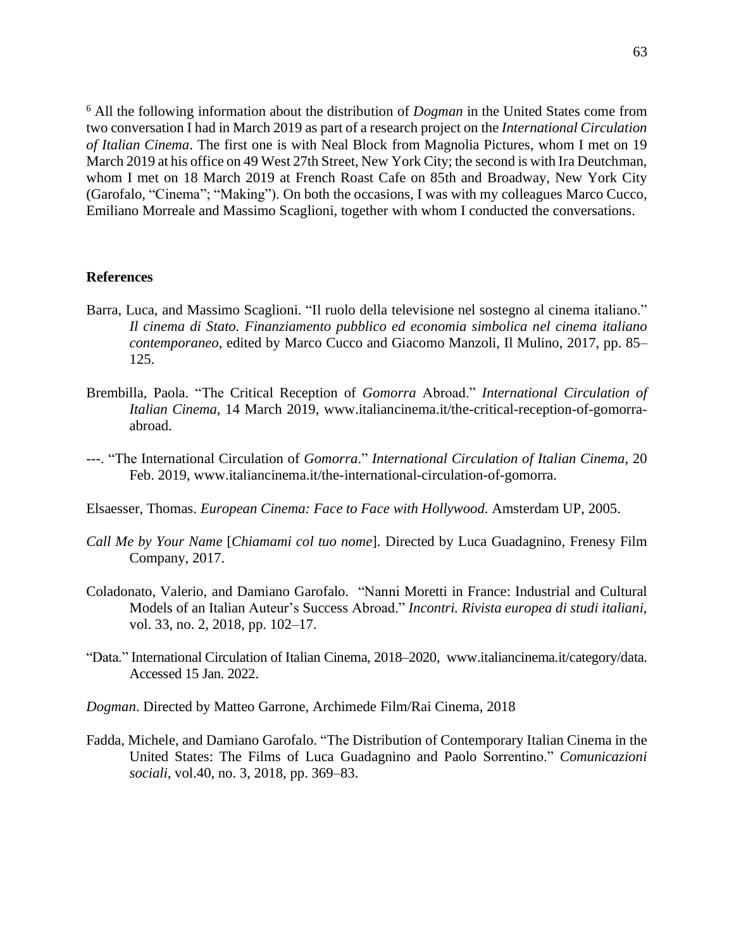<sup>6</sup> All the following information about the distribution of *Dogman* in the United States come from two conversation I had in March 2019 as part of a research project on the *International Circulation of Italian Cinema*. The first one is with Neal Block from Magnolia Pictures, whom I met on 19 March 2019 at his office on 49 West 27th Street, New York City; the second is with Ira Deutchman, whom I met on 18 March 2019 at French Roast Cafe on 85th and Broadway, New York City (Garofalo, "Cinema"; "Making"). On both the occasions, I was with my colleagues Marco Cucco, Emiliano Morreale and Massimo Scaglioni, together with whom I conducted the conversations.

#### **References**

- Barra, Luca, and Massimo Scaglioni. "Il ruolo della televisione nel sostegno al cinema italiano." *Il cinema di Stato. Finanziamento pubblico ed economia simbolica nel cinema italiano contemporaneo*, edited by Marco Cucco and Giacomo Manzoli, Il Mulino, 2017, pp. 85– 125.
- Brembilla, Paola. "The Critical Reception of *Gomorra* Abroad." *International Circulation of Italian Cinema*, 14 March 2019, [www.italiancinema.it/the-critical-reception-of-gomorra](https://www.italiancinema.it/the-critical-reception-of-gomorra-abroad/)[abroad.](https://www.italiancinema.it/the-critical-reception-of-gomorra-abroad/)
- ---. "The International Circulation of *Gomorra*." *International Circulation of Italian Cinema*, 20 Feb. 2019, [www.italiancinema.it/the-international-circulation-of-gomorra.](https://www.italiancinema.it/the-international-circulation-of-gomorra/)
- Elsaesser, Thomas. *European Cinema: Face to Face with Hollywood*. Amsterdam UP, 2005.
- *Call Me by Your Name* [*Chiamami col tuo nome*]. Directed by Luca Guadagnino, Frenesy Film Company, 2017.
- Coladonato, Valerio, and Damiano Garofalo. "Nanni Moretti in France: Industrial and Cultural Models of an Italian Auteur's Success Abroad." *Incontri. Rivista europea di studi italiani*, vol. 33, no. 2, 2018, pp. 102–17.
- "Data." International Circulation of Italian Cinema, 2018–2020, [www.italiancinema.it/category/data.](https://www.italiancinema.it/category/data/) Accessed 15 Jan. 2022.
- *Dogman*. Directed by Matteo Garrone, Archimede Film/Rai Cinema, 2018
- Fadda, Michele, and Damiano Garofalo. "The Distribution of Contemporary Italian Cinema in the United States: The Films of Luca Guadagnino and Paolo Sorrentino." *Comunicazioni sociali*, vol.40, no. 3, 2018, pp. 369–83.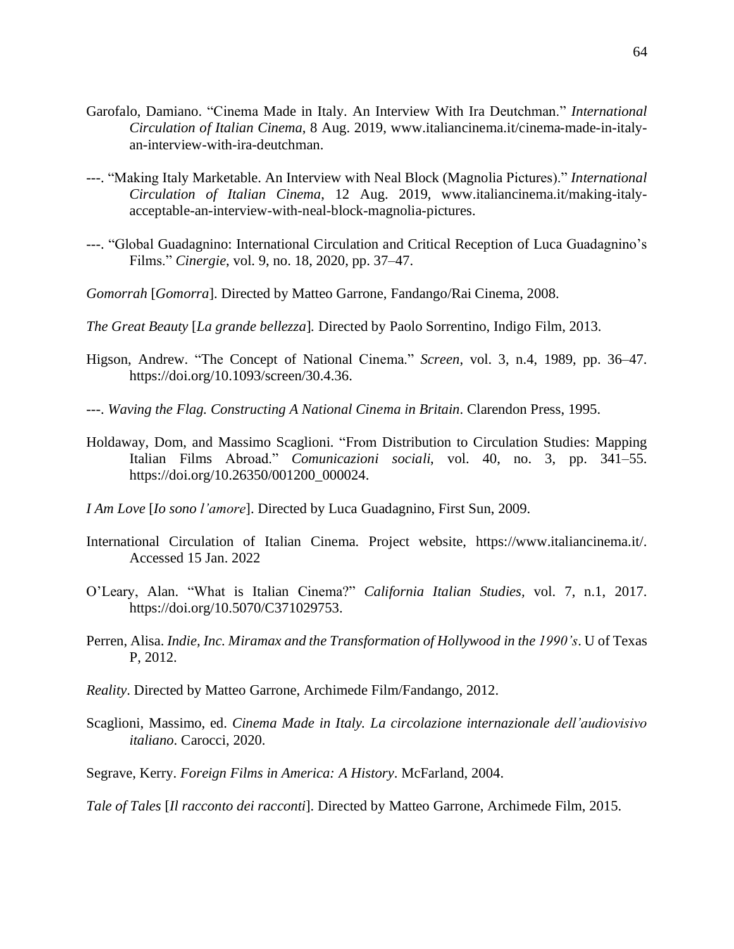- Garofalo, Damiano. "Cinema Made in Italy. An Interview With Ira Deutchman." *International Circulation of Italian Cinema*, 8 Aug. 2019, [www.italiancinema.it/cinema-made-in-italy](https://www.italiancinema.it/cinema-made-in-italy-an-interview-with-ira-deutchman/)[an-interview-with-ira-deutchman.](https://www.italiancinema.it/cinema-made-in-italy-an-interview-with-ira-deutchman/)
- ---. "Making Italy Marketable. An Interview with Neal Block (Magnolia Pictures)." *International Circulation of Italian Cinema*, 12 Aug. 2019, [www.italiancinema.it/making-italy](https://www.italiancinema.it/making-italy-acceptable-an-interview-with-neal-block-magnolia-pictures/)[acceptable-an-interview-with-neal-block-magnolia-pictures.](https://www.italiancinema.it/making-italy-acceptable-an-interview-with-neal-block-magnolia-pictures/)
- ---. "Global Guadagnino: International Circulation and Critical Reception of Luca Guadagnino's Films." *Cinergie*, vol. 9, no. 18, 2020, pp. 37–47.
- *Gomorrah* [*Gomorra*]. Directed by Matteo Garrone, Fandango/Rai Cinema, 2008.
- *The Great Beauty* [*La grande bellezza*]*.* Directed by Paolo Sorrentino, Indigo Film, 2013.
- Higson, Andrew. "The Concept of National Cinema." *Screen*, vol. 3, n.4, 1989, pp. 36–47. [https://doi.org/10.1093/screen/30.4.36.](https://doi.org/10.1093/screen/30.4.36)
- ---. *Waving the Flag. Constructing A National Cinema in Britain*. Clarendon Press, 1995.
- Holdaway, Dom, and Massimo Scaglioni. "From Distribution to Circulation Studies: Mapping Italian Films Abroad." *Comunicazioni sociali*, vol. 40, no. 3, pp. 341–55. [https://doi.org/10.26350/001200\\_000024.](https://doi.org/10.26350/001200_000024)
- *I Am Love* [*Io sono l'amore*]. Directed by Luca Guadagnino, First Sun, 2009.
- International Circulation of Italian Cinema. Project website, [https://www.italiancinema.it/.](https://www.italiancinema.it/) Accessed 15 Jan. 2022
- O'Leary, Alan. "What is Italian Cinema?" *California Italian Studies,* vol. 7, n.1, 2017. [https://doi.org/10.5070/C371029753.](https://doi.org/10.5070/C371029753)
- Perren, Alisa. *Indie, Inc. Miramax and the Transformation of Hollywood in the 1990's*. U of Texas P, 2012.
- *Reality*. Directed by Matteo Garrone, Archimede Film/Fandango, 2012.
- Scaglioni, Massimo, ed. *Cinema Made in Italy. La circolazione internazionale dell'audiovisivo italiano*. Carocci, 2020.
- Segrave, Kerry. *Foreign Films in America: A History*. McFarland, 2004.

*Tale of Tales* [*Il racconto dei racconti*]. Directed by Matteo Garrone, Archimede Film, 2015.